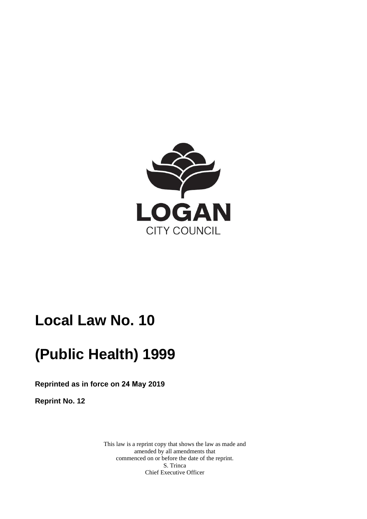

# **Local Law No. 10**

# **(Public Health) 1999**

**Reprinted as in force on 24 May 2019** 

**Reprint No. 12** 

This law is a reprint copy that shows the law as made and amended by all amendments that commenced on or before the date of the reprint. S. Trinca Chief Executive Officer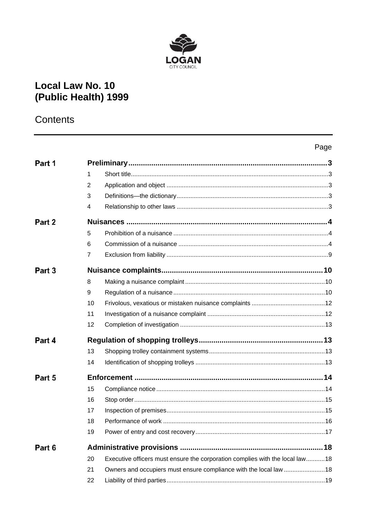

## **Local Law No. 10** (Public Health) 1999

## Contents

## Page

| Part 1 |                |                                                                              |  |
|--------|----------------|------------------------------------------------------------------------------|--|
|        | 1              |                                                                              |  |
|        | $\overline{2}$ |                                                                              |  |
|        | 3              |                                                                              |  |
|        | 4              |                                                                              |  |
| Part 2 |                |                                                                              |  |
|        | 5              |                                                                              |  |
|        | 6              |                                                                              |  |
|        | $\overline{7}$ |                                                                              |  |
| Part 3 |                |                                                                              |  |
|        | 8              |                                                                              |  |
|        | 9              |                                                                              |  |
|        | 10             |                                                                              |  |
|        | 11             |                                                                              |  |
|        | 12             |                                                                              |  |
| Part 4 |                |                                                                              |  |
|        | 13             |                                                                              |  |
|        | 14             |                                                                              |  |
| Part 5 |                |                                                                              |  |
|        | 15             |                                                                              |  |
|        | 16             |                                                                              |  |
|        | 17             |                                                                              |  |
|        | 18             |                                                                              |  |
|        | 19             |                                                                              |  |
| Part 6 |                |                                                                              |  |
|        | 20             | Executive officers must ensure the corporation complies with the local law18 |  |
|        | 21             | Owners and occupiers must ensure compliance with the local law  18           |  |
|        | 22             |                                                                              |  |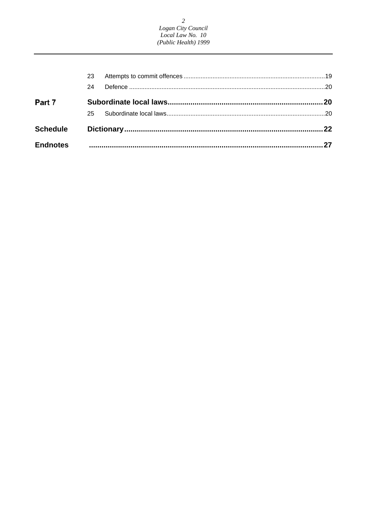2<br>Logan City Council<br>Local Law No. 10<br>(Public Health) 1999

| <b>Endnotes</b> |    |  |
|-----------------|----|--|
| <b>Schedule</b> |    |  |
|                 | 25 |  |
| Part 7          |    |  |
|                 | 24 |  |
|                 | 23 |  |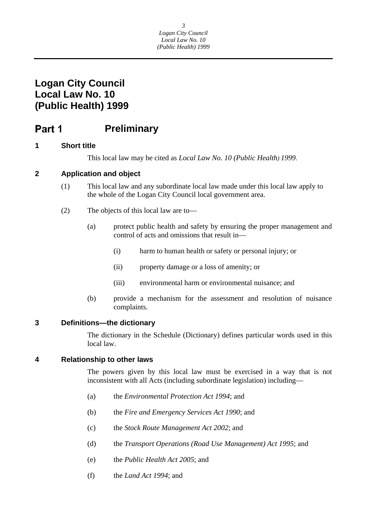#### <span id="page-3-0"></span>**Preliminary**  Part 1

## **1 Short title**

This local law may be cited as *Local Law No. 10 (Public Health) 1999*.

## **2 Application and object**

- (1) This local law and any subordinate local law made under this local law apply to the whole of the Logan City Council local government area.
- (2) The objects of this local law are to—
	- (a) protect public health and safety by ensuring the proper management and control of acts and omissions that result in—
		- (i) harm to human health or safety or personal injury; or
		- (ii) property damage or a loss of amenity; or
		- (iii) environmental harm or environmental nuisance; and
	- (b) provide a mechanism for the assessment and resolution of nuisance complaints.

## **3 Definitions—the dictionary**

The dictionary in the Schedule (Dictionary) defines particular words used in this local law.

## **4 Relationship to other laws**

The powers given by this local law must be exercised in a way that is not inconsistent with all Acts (including subordinate legislation) including—

- (a) the *Environmental Protection Act 1994*; and
- (b) the *Fire and Emergency Services Act 1990*; and
- (c) the *Stock Route Management Act 2002*; and
- (d) the *Transport Operations (Road Use Management) Act 1995*; and
- (e) the *Public Health Act 2005*; and
- (f) the *Land Act 1994*; and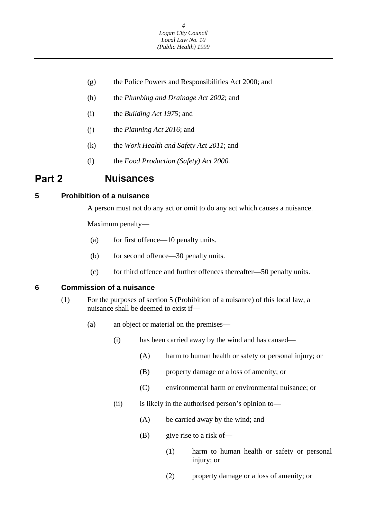

- <span id="page-4-0"></span>(g) the Police Powers and Responsibilities Act 2000; and
- (h) the *Plumbing and Drainage Act 2002*; and
- (i) the *Building Act 1975*; and
- (j) the *Planning Act 2016*; and
- (k) the *Work Health and Safety Act 2011*; and
- (l) the *Food Production (Safety) Act 2000.*

## **Part 2 Nuisances**

### **5 Prohibition of a nuisance**

A person must not do any act or omit to do any act which causes a nuisance.

Maximum penalty—

- (a) for first offence—10 penalty units.
- (b) for second offence—30 penalty units.
- (c) for third offence and further offences thereafter—50 penalty units.

### **6 Commission of a nuisance**

- (1) For the purposes of section 5 (Prohibition of a nuisance) of this local law, a nuisance shall be deemed to exist if—
	- (a) an object or material on the premises—
		- (i) has been carried away by the wind and has caused—
			- (A) harm to human health or safety or personal injury; or
			- (B) property damage or a loss of amenity; or
			- (C) environmental harm or environmental nuisance; or
		- (ii) is likely in the authorised person's opinion to—
			- (A) be carried away by the wind; and
			- $(B)$  give rise to a risk of
				- (1) harm to human health or safety or personal injury; or
				- (2) property damage or a loss of amenity; or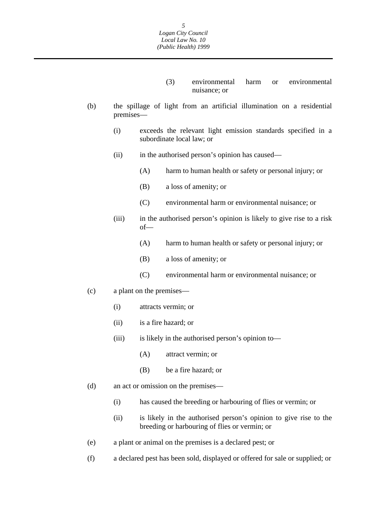- (3) environmental harm or environmental nuisance; or
- (b) the spillage of light from an artificial illumination on a residential premises—
	- (i) exceeds the relevant light emission standards specified in a subordinate local law; or
	- (ii) in the authorised person's opinion has caused—
		- (A) harm to human health or safety or personal injury; or
		- (B) a loss of amenity; or
		- (C) environmental harm or environmental nuisance; or
	- (iii) in the authorised person's opinion is likely to give rise to a risk of—
		- (A) harm to human health or safety or personal injury; or
		- (B) a loss of amenity; or
		- (C) environmental harm or environmental nuisance; or
- (c) a plant on the premises—
	- (i) attracts vermin; or
	- (ii) is a fire hazard; or
	- (iii) is likely in the authorised person's opinion to—
		- (A) attract vermin; or
		- (B) be a fire hazard; or
- (d) an act or omission on the premises—
	- (i) has caused the breeding or harbouring of flies or vermin; or
	- (ii) is likely in the authorised person's opinion to give rise to the breeding or harbouring of flies or vermin; or
- (e) a plant or animal on the premises is a declared pest; or
- (f) a declared pest has been sold, displayed or offered for sale or supplied; or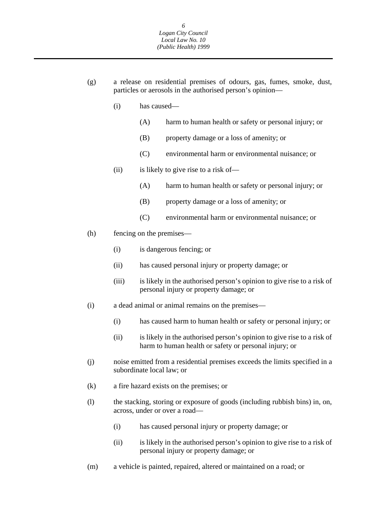- (g) a release on residential premises of odours, gas, fumes, smoke, dust, particles or aerosols in the authorised person's opinion—
	- (i) has caused—
		- (A) harm to human health or safety or personal injury; or
		- (B) property damage or a loss of amenity; or
		- (C) environmental harm or environmental nuisance; or
	- (ii) is likely to give rise to a risk of—
		- (A) harm to human health or safety or personal injury; or
		- (B) property damage or a loss of amenity; or
		- (C) environmental harm or environmental nuisance; or
- (h) fencing on the premises—
	- (i) is dangerous fencing; or
	- (ii) has caused personal injury or property damage; or
	- (iii) is likely in the authorised person's opinion to give rise to a risk of personal injury or property damage; or
- (i) a dead animal or animal remains on the premises—
	- (i) has caused harm to human health or safety or personal injury; or
	- (ii) is likely in the authorised person's opinion to give rise to a risk of harm to human health or safety or personal injury; or
- (j) noise emitted from a residential premises exceeds the limits specified in a subordinate local law; or
- (k) a fire hazard exists on the premises; or
- (l) the stacking, storing or exposure of goods (including rubbish bins) in, on, across, under or over a road—
	- (i) has caused personal injury or property damage; or
	- (ii) is likely in the authorised person's opinion to give rise to a risk of personal injury or property damage; or
- (m) a vehicle is painted, repaired, altered or maintained on a road; or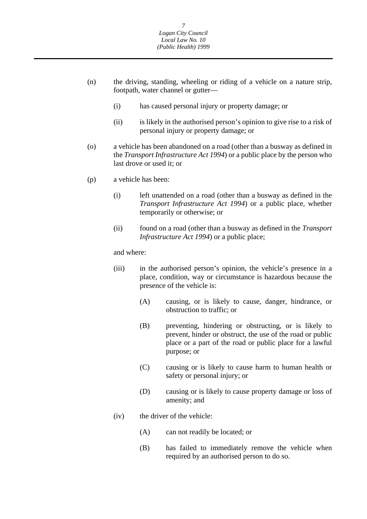- (n) the driving, standing, wheeling or riding of a vehicle on a nature strip, footpath, water channel or gutter—
	- (i) has caused personal injury or property damage; or
	- (ii) is likely in the authorised person's opinion to give rise to a risk of personal injury or property damage; or
- (o) a vehicle has been abandoned on a road (other than a busway as defined in the *Transport Infrastructure Act 1994*) or a public place by the person who last drove or used it; or
- (p) a vehicle has been:
	- (i) left unattended on a road (other than a busway as defined in the *Transport Infrastructure Act 1994*) or a public place, whether temporarily or otherwise; or
	- (ii) found on a road (other than a busway as defined in the *Transport Infrastructure Act 1994*) or a public place;

and where:

- (iii) in the authorised person's opinion, the vehicle's presence in a place, condition, way or circumstance is hazardous because the presence of the vehicle is:
	- (A) causing, or is likely to cause, danger, hindrance, or obstruction to traffic; or
	- (B) preventing, hindering or obstructing, or is likely to prevent, hinder or obstruct, the use of the road or public place or a part of the road or public place for a lawful purpose; or
	- (C) causing or is likely to cause harm to human health or safety or personal injury; or
	- (D) causing or is likely to cause property damage or loss of amenity; and
- (iv) the driver of the vehicle:
	- (A) can not readily be located; or
	- (B) has failed to immediately remove the vehicle when required by an authorised person to do so.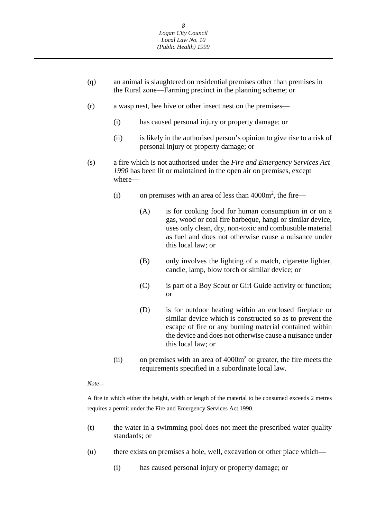- (q) an animal is slaughtered on residential premises other than premises in the Rural zone—Farming precinct in the planning scheme; or
- (r) a wasp nest, bee hive or other insect nest on the premises—
	- (i) has caused personal injury or property damage; or
	- (ii) is likely in the authorised person's opinion to give rise to a risk of personal injury or property damage; or
- (s) a fire which is not authorised under the *Fire and Emergency Services Act 1990* has been lit or maintained in the open air on premises, except where—
	- (i) on premises with an area of less than  $4000m^2$ , the fire—
		- (A) is for cooking food for human consumption in or on a gas, wood or coal fire barbeque, hangi or similar device, uses only clean, dry, non-toxic and combustible material as fuel and does not otherwise cause a nuisance under this local law; or
		- (B) only involves the lighting of a match, cigarette lighter, candle, lamp, blow torch or similar device; or
		- (C) is part of a Boy Scout or Girl Guide activity or function; or
		- (D) is for outdoor heating within an enclosed fireplace or similar device which is constructed so as to prevent the escape of fire or any burning material contained within the device and does not otherwise cause a nuisance under this local law; or
	- (ii) on premises with an area of  $4000m<sup>2</sup>$  or greater, the fire meets the requirements specified in a subordinate local law.

### *Note—*

A fire in which either the height, width or length of the material to be consumed exceeds 2 metres requires a permit under the Fire and Emergency Services Act 1990.

- (t) the water in a swimming pool does not meet the prescribed water quality standards; or
- (u) there exists on premises a hole, well, excavation or other place which—
	- (i) has caused personal injury or property damage; or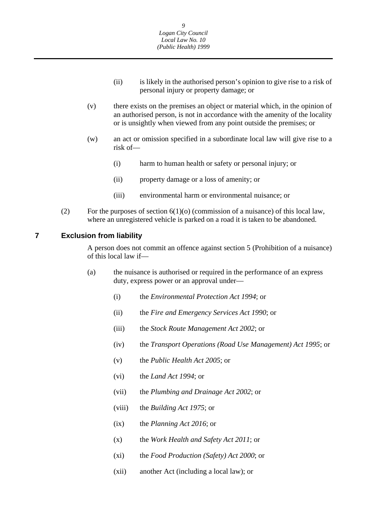- (ii) is likely in the authorised person's opinion to give rise to a risk of personal injury or property damage; or
- <span id="page-9-0"></span>(v) there exists on the premises an object or material which, in the opinion of an authorised person, is not in accordance with the amenity of the locality or is unsightly when viewed from any point outside the premises; or
- (w) an act or omission specified in a subordinate local law will give rise to a risk of—
	- (i) harm to human health or safety or personal injury; or
	- (ii) property damage or a loss of amenity; or
	- (iii) environmental harm or environmental nuisance; or
- (2) For the purposes of section  $6(1)(0)$  (commission of a nuisance) of this local law, where an unregistered vehicle is parked on a road it is taken to be abandoned.

#### **7 Exclusion from liability**

A person does not commit an offence against section 5 (Prohibition of a nuisance) of this local law if—

- (a) the nuisance is authorised or required in the performance of an express duty, express power or an approval under—
	- (i) the *Environmental Protection Act 1994*; or
	- (ii) the *Fire and Emergency Services Act 1990*; or
	- (iii) the *Stock Route Management Act 2002*; or
	- (iv) the *Transport Operations (Road Use Management) Act 1995*; or
	- (v) the *Public Health Act 2005*; or
	- (vi) the *Land Act 1994*; or
	- (vii) the *Plumbing and Drainage Act 2002*; or
	- (viii) the *Building Act 1975*; or
	- (ix) the *Planning Act 2016*; or
	- (x) the *Work Health and Safety Act 2011*; or
	- (xi) the *Food Production (Safety) Act 2000*; or
	- (xii) another Act (including a local law); or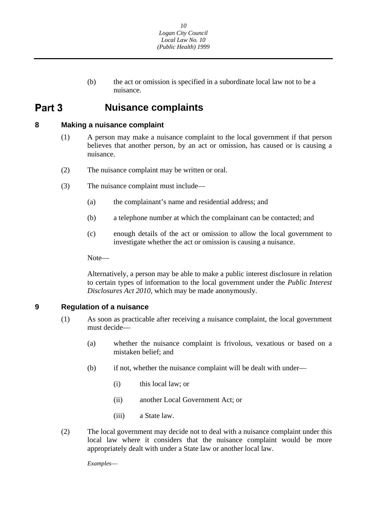(b) the act or omission is specified in a subordinate local law not to be a nuisance.

## <span id="page-10-0"></span> **Nuisance complaints**

## **8 Making a nuisance complaint**

- (1) A person may make a nuisance complaint to the local government if that person believes that another person, by an act or omission, has caused or is causing a nuisance.
- (2) The nuisance complaint may be written or oral.
- (3) The nuisance complaint must include—
	- (a) the complainant's name and residential address; and
	- (b) a telephone number at which the complainant can be contacted; and
	- (c) enough details of the act or omission to allow the local government to investigate whether the act or omission is causing a nuisance.

Note—

Alternatively, a person may be able to make a public interest disclosure in relation to certain types of information to the local government under the *Public Interest Disclosures Act 2010*, which may be made anonymously.

## **9 Regulation of a nuisance**

- (1) As soon as practicable after receiving a nuisance complaint, the local government must decide—
	- (a) whether the nuisance complaint is frivolous, vexatious or based on a mistaken belief; and
	- (b) if not, whether the nuisance complaint will be dealt with under—
		- (i) this local law; or
		- (ii) another Local Government Act; or
		- (iii) a State law.
- (2) The local government may decide not to deal with a nuisance complaint under this local law where it considers that the nuisance complaint would be more appropriately dealt with under a State law or another local law.

*Examples*—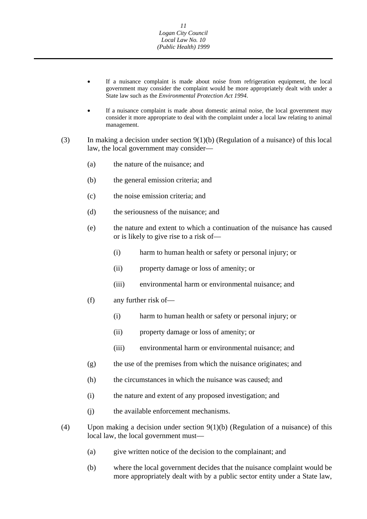- If a nuisance complaint is made about noise from refrigeration equipment, the local government may consider the complaint would be more appropriately dealt with under a State law such as the *Environmental Protection Act 1994*.
- If a nuisance complaint is made about domestic animal noise, the local government may consider it more appropriate to deal with the complaint under a local law relating to animal management.
- (3) In making a decision under section 9(1)(b) (Regulation of a nuisance) of this local law, the local government may consider—
	- (a) the nature of the nuisance; and
	- (b) the general emission criteria; and
	- (c) the noise emission criteria; and
	- (d) the seriousness of the nuisance; and
	- (e) the nature and extent to which a continuation of the nuisance has caused or is likely to give rise to a risk of—
		- (i) harm to human health or safety or personal injury; or
		- (ii) property damage or loss of amenity; or
		- (iii) environmental harm or environmental nuisance; and
	- (f) any further risk of—
		- (i) harm to human health or safety or personal injury; or
		- (ii) property damage or loss of amenity; or
		- (iii) environmental harm or environmental nuisance; and
	- (g) the use of the premises from which the nuisance originates; and
	- (h) the circumstances in which the nuisance was caused; and
	- (i) the nature and extent of any proposed investigation; and
	- (j) the available enforcement mechanisms.
- (4) Upon making a decision under section 9(1)(b) (Regulation of a nuisance) of this local law, the local government must—
	- (a) give written notice of the decision to the complainant; and
	- (b) where the local government decides that the nuisance complaint would be more appropriately dealt with by a public sector entity under a State law,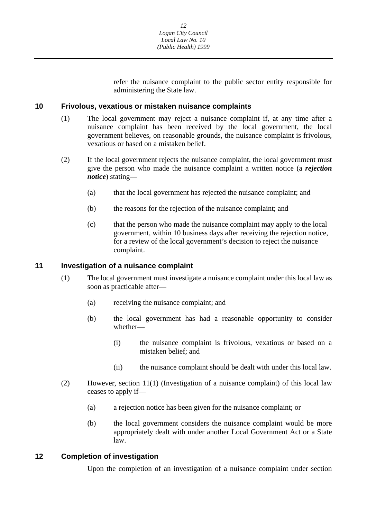refer the nuisance complaint to the public sector entity responsible for administering the State law.

### <span id="page-12-0"></span>**10 Frivolous, vexatious or mistaken nuisance complaints**

- (1) The local government may reject a nuisance complaint if, at any time after a nuisance complaint has been received by the local government, the local government believes, on reasonable grounds, the nuisance complaint is frivolous, vexatious or based on a mistaken belief.
- (2) If the local government rejects the nuisance complaint, the local government must give the person who made the nuisance complaint a written notice (a *rejection notice*) stating—
	- (a) that the local government has rejected the nuisance complaint; and
	- (b) the reasons for the rejection of the nuisance complaint; and
	- (c) that the person who made the nuisance complaint may apply to the local government, within 10 business days after receiving the rejection notice, for a review of the local government's decision to reject the nuisance complaint.

### **11 Investigation of a nuisance complaint**

- (1) The local government must investigate a nuisance complaint under this local law as soon as practicable after—
	- (a) receiving the nuisance complaint; and
	- (b) the local government has had a reasonable opportunity to consider whether—
		- (i) the nuisance complaint is frivolous, vexatious or based on a mistaken belief; and
		- (ii) the nuisance complaint should be dealt with under this local law.
- (2) However, section 11(1) (Investigation of a nuisance complaint) of this local law ceases to apply if—
	- (a) a rejection notice has been given for the nuisance complaint; or
	- (b) the local government considers the nuisance complaint would be more appropriately dealt with under another Local Government Act or a State law.

## **12 Completion of investigation**

Upon the completion of an investigation of a nuisance complaint under section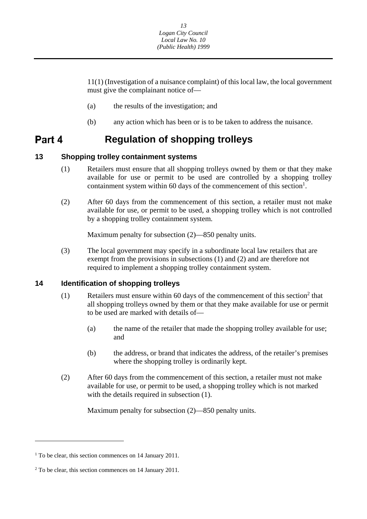<span id="page-13-0"></span>11(1) (Investigation of a nuisance complaint) of this local law, the local government must give the complainant notice of—

- (a) the results of the investigation; and
- (b) any action which has been or is to be taken to address the nuisance.

#### Part 4 **Regulation of shopping trolleys**

## **13 Shopping trolley containment systems**

- (1) Retailers must ensure that all shopping trolleys owned by them or that they make available for use or permit to be used are controlled by a shopping trolley containment system within 60 days of the commencement of this section<sup>1</sup>.
- (2) After 60 days from the commencement of this section, a retailer must not make available for use, or permit to be used, a shopping trolley which is not controlled by a shopping trolley containment system.

Maximum penalty for subsection (2)—850 penalty units.

(3) The local government may specify in a subordinate local law retailers that are exempt from the provisions in subsections (1) and (2) and are therefore not required to implement a shopping trolley containment system.

## **14 Identification of shopping trolleys**

- (1) Retailers must ensure within 60 days of the commencement of this section<sup>2</sup> that all shopping trolleys owned by them or that they make available for use or permit to be used are marked with details of—
	- (a) the name of the retailer that made the shopping trolley available for use; and
	- (b) the address, or brand that indicates the address, of the retailer's premises where the shopping trolley is ordinarily kept.
- (2) After 60 days from the commencement of this section, a retailer must not make available for use, or permit to be used, a shopping trolley which is not marked with the details required in subsection  $(1)$ .

Maximum penalty for subsection (2)—850 penalty units.

<sup>&</sup>lt;sup>1</sup> To be clear, this section commences on 14 January 2011.

<sup>&</sup>lt;sup>2</sup> To be clear, this section commences on 14 January 2011.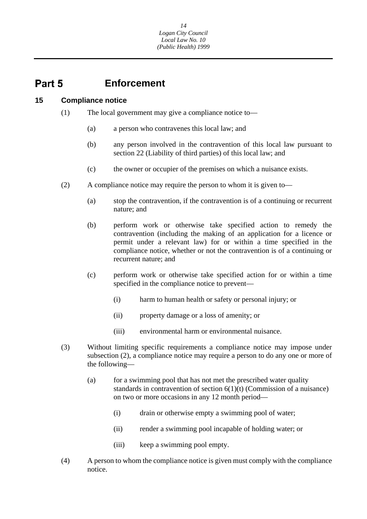#### <span id="page-14-0"></span>Part 5 **Enforcement**

#### **15 Compliance notice**

- (1) The local government may give a compliance notice to—
	- (a) a person who contravenes this local law; and
	- (b) any person involved in the contravention of this local law pursuant to section 22 (Liability of third parties) of this local law; and
	- (c) the owner or occupier of the premises on which a nuisance exists.
- (2) A compliance notice may require the person to whom it is given to—
	- (a) stop the contravention, if the contravention is of a continuing or recurrent nature; and
	- (b) perform work or otherwise take specified action to remedy the contravention (including the making of an application for a licence or permit under a relevant law) for or within a time specified in the compliance notice, whether or not the contravention is of a continuing or recurrent nature; and
	- (c) perform work or otherwise take specified action for or within a time specified in the compliance notice to prevent—
		- (i) harm to human health or safety or personal injury; or
		- (ii) property damage or a loss of amenity; or
		- (iii) environmental harm or environmental nuisance.
- (3) Without limiting specific requirements a compliance notice may impose under subsection (2), a compliance notice may require a person to do any one or more of the following—
	- (a) for a swimming pool that has not met the prescribed water quality standards in contravention of section  $6(1)(t)$  (Commission of a nuisance) on two or more occasions in any 12 month period—
		- (i) drain or otherwise empty a swimming pool of water;
		- (ii) render a swimming pool incapable of holding water; or
		- (iii) keep a swimming pool empty.
- (4) A person to whom the compliance notice is given must comply with the compliance notice.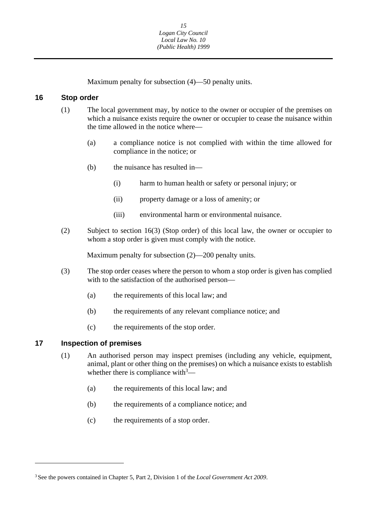Maximum penalty for subsection (4)—50 penalty units.

### <span id="page-15-0"></span>**16 Stop order**

- (1) The local government may, by notice to the owner or occupier of the premises on which a nuisance exists require the owner or occupier to cease the nuisance within the time allowed in the notice where—
	- (a) a compliance notice is not complied with within the time allowed for compliance in the notice; or
	- (b) the nuisance has resulted in—
		- (i) harm to human health or safety or personal injury; or
		- (ii) property damage or a loss of amenity; or
		- (iii) environmental harm or environmental nuisance.
- (2) Subject to section 16(3) (Stop order) of this local law, the owner or occupier to whom a stop order is given must comply with the notice.

Maximum penalty for subsection (2)—200 penalty units.

- (3) The stop order ceases where the person to whom a stop order is given has complied with to the satisfaction of the authorised person—
	- (a) the requirements of this local law; and
	- (b) the requirements of any relevant compliance notice; and
	- (c) the requirements of the stop order.

## **17 Inspection of premises**

- (1) An authorised person may inspect premises (including any vehicle, equipment, animal, plant or other thing on the premises) on which a nuisance exists to establish whether there is compliance with $3$ —
	- (a) the requirements of this local law; and
	- (b) the requirements of a compliance notice; and
	- (c) the requirements of a stop order.

<sup>3</sup> See the powers contained in Chapter 5, Part 2, Division 1 of the *Local Government Act 2009*.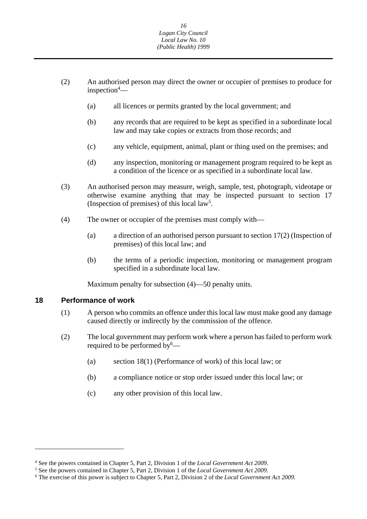- <span id="page-16-0"></span>(2) An authorised person may direct the owner or occupier of premises to produce for inspection4 —
	- (a) all licences or permits granted by the local government; and
	- (b) any records that are required to be kept as specified in a subordinate local law and may take copies or extracts from those records; and
	- (c) any vehicle, equipment, animal, plant or thing used on the premises; and
	- (d) any inspection, monitoring or management program required to be kept as a condition of the licence or as specified in a subordinate local law.
- (3) An authorised person may measure, weigh, sample, test, photograph, videotape or otherwise examine anything that may be inspected pursuant to section 17 (Inspection of premises) of this local  $law<sup>5</sup>$ .
- (4) The owner or occupier of the premises must comply with—
	- (a) a direction of an authorised person pursuant to section 17(2) (Inspection of premises) of this local law; and
	- (b) the terms of a periodic inspection, monitoring or management program specified in a subordinate local law.

Maximum penalty for subsection (4)—50 penalty units.

#### **18 Performance of work**

- (1) A person who commits an offence under this local law must make good any damage caused directly or indirectly by the commission of the offence.
- (2) The local government may perform work where a person has failed to perform work required to be performed by  $\overset{6}{-}$ 
	- (a) section 18(1) (Performance of work) of this local law; or
	- (b) a compliance notice or stop order issued under this local law; or
	- (c) any other provision of this local law.

<sup>&</sup>lt;sup>4</sup> See the powers contained in Chapter 5, Part 2, Division 1 of the *Local Government Act 2009*.<br><sup>5</sup> See the powers contained in Chapter 5, Part 2, Division 1 of the *Local Government Act* 2009.

<sup>&</sup>lt;sup>5</sup> See the powers contained in Chapter 5, Part 2, Division 1 of the *Local Government Act 2009*.<br><sup>6</sup> The exercise of this power is subject to Chapter 5, Part 2, Division 2 of the *Local Government Act 2009*.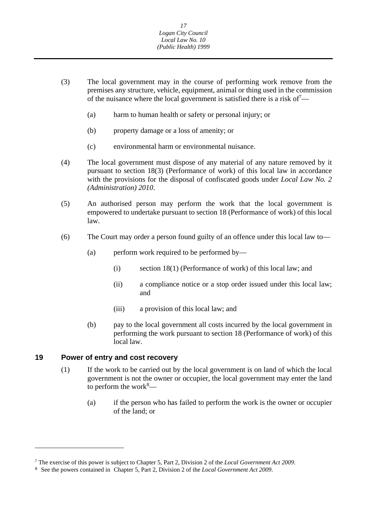- <span id="page-17-0"></span>(3) The local government may in the course of performing work remove from the premises any structure, vehicle, equipment, animal or thing used in the commission of the nuisance where the local government is satisfied there is a risk of  $\sim$ 
	- (a) harm to human health or safety or personal injury; or
	- (b) property damage or a loss of amenity; or
	- (c) environmental harm or environmental nuisance.
- (4) The local government must dispose of any material of any nature removed by it pursuant to section 18(3) (Performance of work) of this local law in accordance with the provisions for the disposal of confiscated goods under *Local Law No. 2 (Administration) 2010*.
- (5) An authorised person may perform the work that the local government is empowered to undertake pursuant to section 18 (Performance of work) of this local law.
- (6) The Court may order a person found guilty of an offence under this local law to—
	- (a) perform work required to be performed by—
		- (i) section 18(1) (Performance of work) of this local law; and
		- (ii) a compliance notice or a stop order issued under this local law; and
		- (iii) a provision of this local law; and
	- (b) pay to the local government all costs incurred by the local government in performing the work pursuant to section 18 (Performance of work) of this local law.

#### **19 Power of entry and cost recovery**

- (1) If the work to be carried out by the local government is on land of which the local government is not the owner or occupier, the local government may enter the land to perform the work $8$ —
	- (a) if the person who has failed to perform the work is the owner or occupier of the land; or

 7 The exercise of this power is subject to Chapter 5, Part 2, Division 2 of the *Local Government Act 2009*.

<sup>8</sup> See the powers contained in Chapter 5, Part 2, Division 2 of the *Local Government Act 2009*.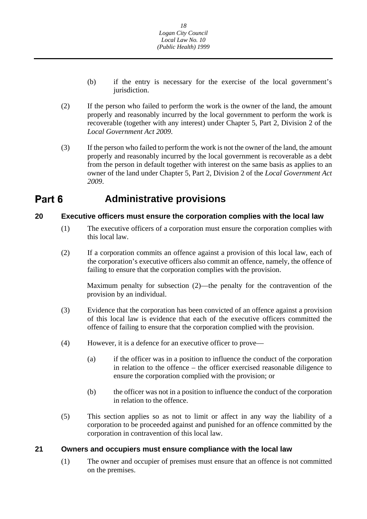- <span id="page-18-0"></span>(b) if the entry is necessary for the exercise of the local government's jurisdiction.
- (2) If the person who failed to perform the work is the owner of the land, the amount properly and reasonably incurred by the local government to perform the work is recoverable (together with any interest) under Chapter 5, Part 2, Division 2 of the *Local Government Act 2009*.
- (3) If the person who failed to perform the work is not the owner of the land, the amount properly and reasonably incurred by the local government is recoverable as a debt from the person in default together with interest on the same basis as applies to an owner of the land under Chapter 5, Part 2, Division 2 of the *Local Government Act 2009*.

## **Part 6** Administrative provisions

## **20 Executive officers must ensure the corporation complies with the local law**

- (1) The executive officers of a corporation must ensure the corporation complies with this local law.
- (2) If a corporation commits an offence against a provision of this local law, each of the corporation's executive officers also commit an offence, namely, the offence of failing to ensure that the corporation complies with the provision.

Maximum penalty for subsection (2)—the penalty for the contravention of the provision by an individual.

- (3) Evidence that the corporation has been convicted of an offence against a provision of this local law is evidence that each of the executive officers committed the offence of failing to ensure that the corporation complied with the provision.
- (4) However, it is a defence for an executive officer to prove—
	- (a) if the officer was in a position to influence the conduct of the corporation in relation to the offence – the officer exercised reasonable diligence to ensure the corporation complied with the provision; or
	- (b) the officer was not in a position to influence the conduct of the corporation in relation to the offence.
- (5) This section applies so as not to limit or affect in any way the liability of a corporation to be proceeded against and punished for an offence committed by the corporation in contravention of this local law.

## **21 Owners and occupiers must ensure compliance with the local law**

(1) The owner and occupier of premises must ensure that an offence is not committed on the premises.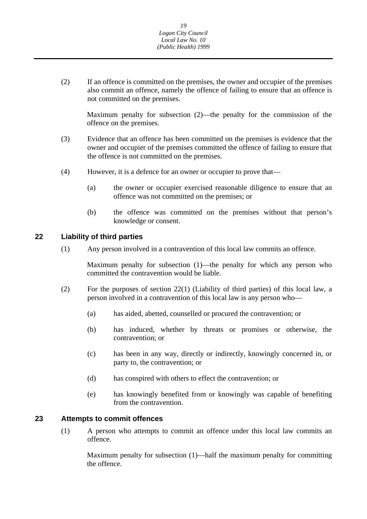<span id="page-19-0"></span>(2) If an offence is committed on the premises, the owner and occupier of the premises also commit an offence, namely the offence of failing to ensure that an offence is not committed on the premises.

Maximum penalty for subsection (2)—the penalty for the commission of the offence on the premises.

- (3) Evidence that an offence has been committed on the premises is evidence that the owner and occupier of the premises committed the offence of failing to ensure that the offence is not committed on the premises.
- (4) However, it is a defence for an owner or occupier to prove that—
	- (a) the owner or occupier exercised reasonable diligence to ensure that an offence was not committed on the premises; or
	- (b) the offence was committed on the premises without that person's knowledge or consent.

## **22 Liability of third parties**

(1) Any person involved in a contravention of this local law commits an offence.

Maximum penalty for subsection (1)—the penalty for which any person who committed the contravention would be liable.

- (2) For the purposes of section 22(1) (Liability of third parties) of this local law, a person involved in a contravention of this local law is any person who—
	- (a) has aided, abetted, counselled or procured the contravention; or
	- (b) has induced, whether by threats or promises or otherwise, the contravention; or
	- (c) has been in any way, directly or indirectly, knowingly concerned in, or party to, the contravention; or
	- (d) has conspired with others to effect the contravention; or
	- (e) has knowingly benefited from or knowingly was capable of benefiting from the contravention.

## **23 Attempts to commit offences**

(1) A person who attempts to commit an offence under this local law commits an offence.

Maximum penalty for subsection (1)—half the maximum penalty for committing the offence.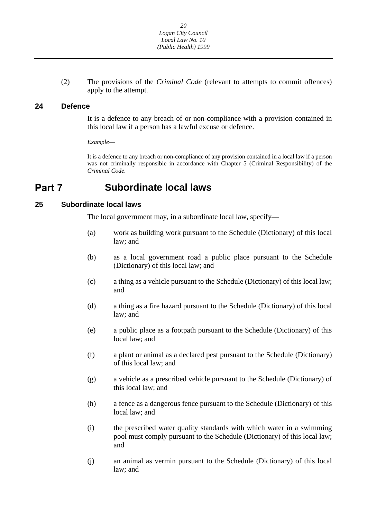<span id="page-20-0"></span>(2) The provisions of the *Criminal Code* (relevant to attempts to commit offences) apply to the attempt.

### **24 Defence**

It is a defence to any breach of or non-compliance with a provision contained in this local law if a person has a lawful excuse or defence.

*Example*—

It is a defence to any breach or non-compliance of any provision contained in a local law if a person was not criminally responsible in accordance with Chapter 5 (Criminal Responsibility) of the *Criminal Code*.

#### Part 7 **Subordinate local laws**

## **25 Subordinate local laws**

The local government may, in a subordinate local law, specify—

- (a) work as building work pursuant to the Schedule (Dictionary) of this local law; and
- (b) as a local government road a public place pursuant to the Schedule (Dictionary) of this local law; and
- (c) a thing as a vehicle pursuant to the Schedule (Dictionary) of this local law; and
- (d) a thing as a fire hazard pursuant to the Schedule (Dictionary) of this local law; and
- (e) a public place as a footpath pursuant to the Schedule (Dictionary) of this local law; and
- (f) a plant or animal as a declared pest pursuant to the Schedule (Dictionary) of this local law; and
- (g) a vehicle as a prescribed vehicle pursuant to the Schedule (Dictionary) of this local law; and
- (h) a fence as a dangerous fence pursuant to the Schedule (Dictionary) of this local law; and
- (i) the prescribed water quality standards with which water in a swimming pool must comply pursuant to the Schedule (Dictionary) of this local law; and
- (j) an animal as vermin pursuant to the Schedule (Dictionary) of this local law; and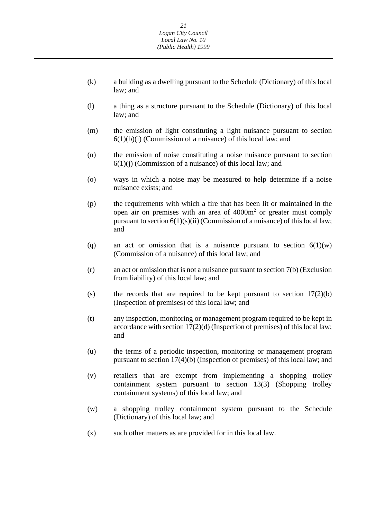- (k) a building as a dwelling pursuant to the Schedule (Dictionary) of this local law; and
- (l) a thing as a structure pursuant to the Schedule (Dictionary) of this local law; and
- (m) the emission of light constituting a light nuisance pursuant to section  $6(1)(b)(i)$  (Commission of a nuisance) of this local law; and
- (n) the emission of noise constituting a noise nuisance pursuant to section  $6(1)(i)$  (Commission of a nuisance) of this local law; and
- (o) ways in which a noise may be measured to help determine if a noise nuisance exists; and
- (p) the requirements with which a fire that has been lit or maintained in the open air on premises with an area of  $4000m<sup>2</sup>$  or greater must comply pursuant to section  $6(1)(s)(ii)$  (Commission of a nuisance) of this local law; and
- (q) an act or omission that is a nuisance pursuant to section  $6(1)(w)$ (Commission of a nuisance) of this local law; and
- (r) an act or omission that is not a nuisance pursuant to section 7(b) (Exclusion from liability) of this local law; and
- (s) the records that are required to be kept pursuant to section  $17(2)(b)$ (Inspection of premises) of this local law; and
- (t) any inspection, monitoring or management program required to be kept in accordance with section 17(2)(d) (Inspection of premises) of this local law; and
- (u) the terms of a periodic inspection, monitoring or management program pursuant to section 17(4)(b) (Inspection of premises) of this local law; and
- (v) retailers that are exempt from implementing a shopping trolley containment system pursuant to section 13(3) (Shopping trolley containment systems) of this local law; and
- (w) a shopping trolley containment system pursuant to the Schedule (Dictionary) of this local law; and
- (x) such other matters as are provided for in this local law.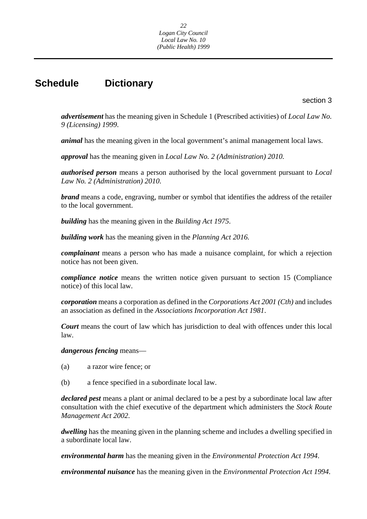## <span id="page-22-0"></span>**Schedule Dictionary**

section 3

*advertisement* has the meaning given in Schedule 1 (Prescribed activities) of *Local Law No. 9 (Licensing) 1999*.

*animal* has the meaning given in the local government's animal management local laws.

*approval* has the meaning given in *Local Law No. 2 (Administration) 2010.* 

*authorised person* means a person authorised by the local government pursuant to *Local Law No. 2 (Administration) 2010*.

*brand* means a code, engraving, number or symbol that identifies the address of the retailer to the local government.

*building* has the meaning given in the *Building Act 1975*.

*building work* has the meaning given in the *Planning Act 2016.* 

*complainant* means a person who has made a nuisance complaint, for which a rejection notice has not been given.

*compliance notice* means the written notice given pursuant to section 15 (Compliance notice) of this local law.

*corporation* means a corporation as defined in the *Corporations Act 2001 (Cth)* and includes an association as defined in the *Associations Incorporation Act 1981*.

*Court* means the court of law which has jurisdiction to deal with offences under this local law.

### *dangerous fencing* means—

- (a) a razor wire fence; or
- (b) a fence specified in a subordinate local law.

*declared pest* means a plant or animal declared to be a pest by a subordinate local law after consultation with the chief executive of the department which administers the *Stock Route Management Act 2002*.

*dwelling* has the meaning given in the planning scheme and includes a dwelling specified in a subordinate local law.

*environmental harm* has the meaning given in the *Environmental Protection Act 1994*.

*environmental nuisance* has the meaning given in the *Environmental Protection Act 1994*.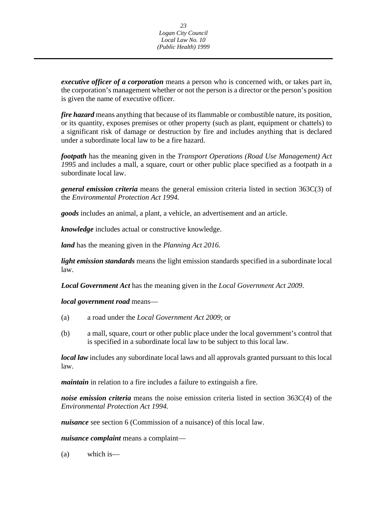*executive officer of a corporation* means a person who is concerned with, or takes part in, the corporation's management whether or not the person is a director or the person's position is given the name of executive officer.

*fire hazard* means anything that because of its flammable or combustible nature, its position, or its quantity, exposes premises or other property (such as plant, equipment or chattels) to a significant risk of damage or destruction by fire and includes anything that is declared under a subordinate local law to be a fire hazard.

*footpath* has the meaning given in the *Transport Operations (Road Use Management) Act 1995* and includes a mall, a square, court or other public place specified as a footpath in a subordinate local law.

*general emission criteria* means the general emission criteria listed in section 363C(3) of the *Environmental Protection Act 1994.* 

*goods* includes an animal, a plant, a vehicle, an advertisement and an article.

*knowledge* includes actual or constructive knowledge.

*land* has the meaning given in the *Planning Act 2016.* 

*light emission standards* means the light emission standards specified in a subordinate local law.

*Local Government Act* has the meaning given in the *Local Government Act 2009*.

*local government road* means—

- (a) a road under the *Local Government Act 2009*; or
- (b) a mall, square, court or other public place under the local government's control that is specified in a subordinate local law to be subject to this local law.

*local law* includes any subordinate local laws and all approvals granted pursuant to this local law.

*maintain* in relation to a fire includes a failure to extinguish a fire.

*noise emission criteria* means the noise emission criteria listed in section 363C(4) of the *Environmental Protection Act 1994.* 

*nuisance* see section 6 (Commission of a nuisance) of this local law.

*nuisance complaint* means a complaint—

(a) which is—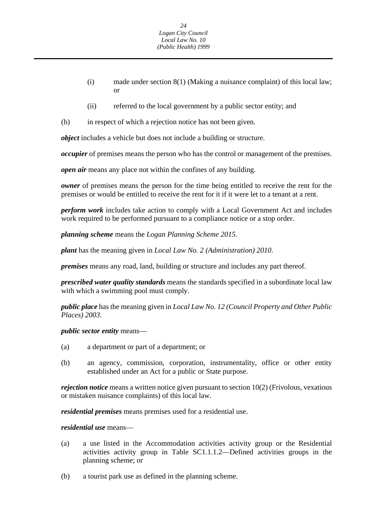- (i) made under section 8(1) (Making a nuisance complaint) of this local law; or
- (ii) referred to the local government by a public sector entity; and
- (b) in respect of which a rejection notice has not been given.

*object* includes a vehicle but does not include a building or structure.

*occupier* of premises means the person who has the control or management of the premises.

*open air* means any place not within the confines of any building.

*owner* of premises means the person for the time being entitled to receive the rent for the premises or would be entitled to receive the rent for it if it were let to a tenant at a rent.

*perform work* includes take action to comply with a Local Government Act and includes work required to be performed pursuant to a compliance notice or a stop order.

*planning scheme* means the *Logan Planning Scheme 2015*.

*plant* has the meaning given in *Local Law No. 2 (Administration) 2010*.

*premises* means any road, land, building or structure and includes any part thereof.

*prescribed water quality standards* means the standards specified in a subordinate local law with which a swimming pool must comply.

*public place* has the meaning given in *Local Law No. 12 (Council Property and Other Public Places) 2003*.

*public sector entity* means—

- (a) a department or part of a department; or
- (b) an agency, commission, corporation, instrumentality, office or other entity established under an Act for a public or State purpose.

*rejection notice* means a written notice given pursuant to section 10(2) (Frivolous, vexatious or mistaken nuisance complaints) of this local law.

*residential premises* means premises used for a residential use.

### *residential use* means—

- (a) a use listed in the Accommodation activities activity group or the Residential activities activity group in Table SC1.1.1.2—Defined activities groups in the planning scheme; or
- (b) a tourist park use as defined in the planning scheme.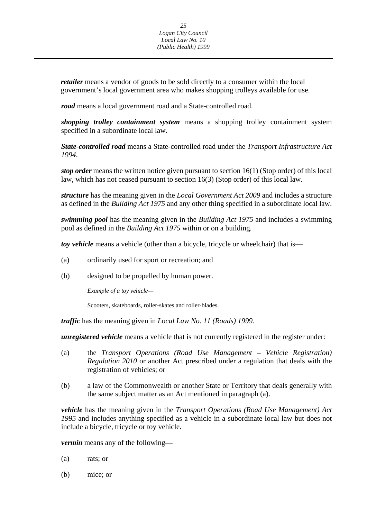*retailer* means a vendor of goods to be sold directly to a consumer within the local government's local government area who makes shopping trolleys available for use.

*road* means a local government road and a State-controlled road.

*shopping trolley containment system* means a shopping trolley containment system specified in a subordinate local law.

*State-controlled road* means a State-controlled road under the *Transport Infrastructure Act 1994*.

*stop order* means the written notice given pursuant to section 16(1) (Stop order) of this local law, which has not ceased pursuant to section 16(3) (Stop order) of this local law.

*structure* has the meaning given in the *Local Government Act 2009* and includes a structure as defined in the *Building Act 1975* and any other thing specified in a subordinate local law.

*swimming pool* has the meaning given in the *Building Act 1975* and includes a swimming pool as defined in the *Building Act 1975* within or on a building*.* 

*toy vehicle* means a vehicle (other than a bicycle, tricycle or wheelchair) that is—

- (a) ordinarily used for sport or recreation; and
- (b) designed to be propelled by human power.

*Example of a toy vehicle—* 

Scooters, skateboards, roller-skates and roller-blades.

*traffic* has the meaning given in *Local Law No. 11 (Roads) 1999.* 

*unregistered vehicle* means a vehicle that is not currently registered in the register under:

- (a) the *Transport Operations (Road Use Management Vehicle Registration) Regulation 2010* or another Act prescribed under a regulation that deals with the registration of vehicles; or
- (b) a law of the Commonwealth or another State or Territory that deals generally with the same subject matter as an Act mentioned in paragraph (a).

*vehicle* has the meaning given in the *Transport Operations (Road Use Management) Act 1995* and includes anything specified as a vehicle in a subordinate local law but does not include a bicycle, tricycle or toy vehicle.

*vermin* means any of the following—

- (a) rats; or
- (b) mice; or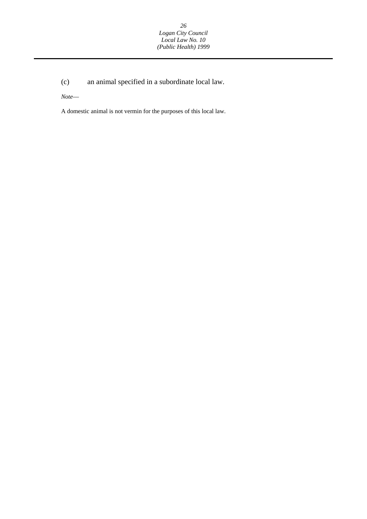(c) an animal specified in a subordinate local law.

*Note*—

A domestic animal is not vermin for the purposes of this local law.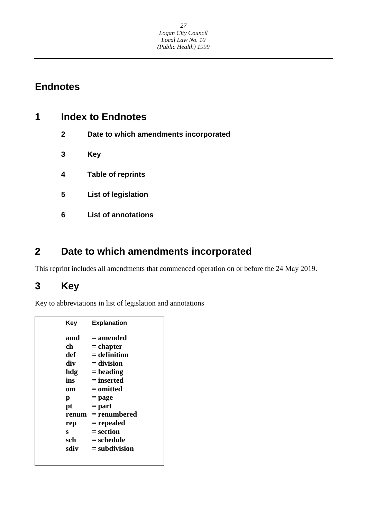## <span id="page-27-0"></span>**Endnotes**

| 1 | <b>Index to Endnotes</b> |                                       |
|---|--------------------------|---------------------------------------|
|   | $\mathbf{2}$             | Date to which amendments incorporated |
|   | 3                        | Key                                   |
|   | 4                        | <b>Table of reprints</b>              |
|   | 5                        | <b>List of legislation</b>            |
|   | 6                        | <b>List of annotations</b>            |
|   |                          |                                       |

## **2 Date to which amendments incorporated**

This reprint includes all amendments that commenced operation on or before the 24 May 2019.

## **3 Key**

Key to abbreviations in list of legislation and annotations

| Key   | <b>Explanation</b> |
|-------|--------------------|
| amd   | $=$ amended        |
| ch    | $=$ chapter        |
| def   | $=$ definition     |
| div   | $=$ division       |
| hdg   | $=$ heading        |
| ins   | $=$ inserted       |
| om    | $=$ omitted        |
| р     | $=$ page           |
| pt    | $=$ part           |
| renum | = renumbered       |
| rep   | = repealed         |
| s     | $=$ section        |
| sch   | = schedule         |
| sdiv  | $=$ subdivision    |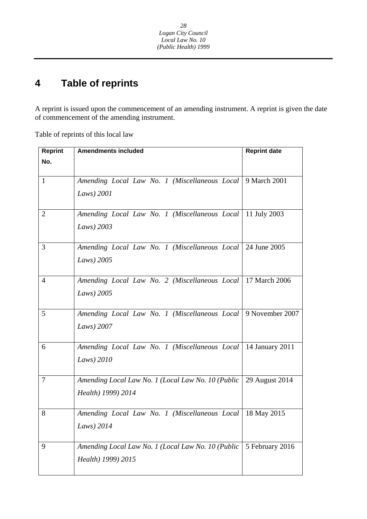#### **4 Table of reprints**

A reprint is issued upon the commencement of an amending instrument. A reprint is given the date of commencement of the amending instrument.

Table of reprints of this local law

| <b>Reprint</b> | <b>Amendments included</b>                                                                | <b>Reprint date</b> |  |
|----------------|-------------------------------------------------------------------------------------------|---------------------|--|
| No.            |                                                                                           |                     |  |
| $\mathbf{1}$   | Amending Local Law No. 1 (Miscellaneous Local 9 March 2001)<br>Laws) 2001                 |                     |  |
| $\overline{2}$ | Amending Local Law No. 1 (Miscellaneous Local   11 July 2003<br>Laws) 2003                |                     |  |
| 3              | Amending Local Law No. 1 (Miscellaneous Local 24 June 2005<br>Laws) 2005                  |                     |  |
| $\overline{4}$ | Amending Local Law No. 2 (Miscellaneous Local   17 March 2006<br>Laws) 2005               |                     |  |
| 5              | Amending Local Law No. 1 (Miscellaneous Local   9 November 2007<br>Laws) 2007             |                     |  |
| 6              | Amending Local Law No. 1 (Miscellaneous Local   14 January 2011<br>Laws) $2010$           |                     |  |
| 7              | Amending Local Law No. 1 (Local Law No. 10 (Public   29 August 2014<br>Health) 1999) 2014 |                     |  |
| 8              | Amending Local Law No. 1 (Miscellaneous Local   18 May 2015<br>Laws) 2014                 |                     |  |
| 9              | Amending Local Law No. 1 (Local Law No. 10 (Public<br>Health) 1999) 2015                  | 5 February 2016     |  |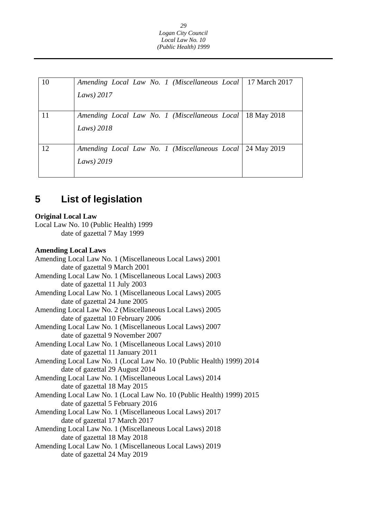| 10 | Amending Local Law No. 1 (Miscellaneous Local)<br>Laws) $2017$ | 17 March 2017 |
|----|----------------------------------------------------------------|---------------|
| 11 | Amending Local Law No. 1 (Miscellaneous Local)<br>Laws) $2018$ | 18 May 2018   |
| 12 | Amending Local Law No. 1 (Miscellaneous Local)<br>Laws) 2019   | 24 May 2019   |

#### **5 List of legislation**

## **Original Local Law**

Local Law No. 10 (Public Health) 1999 date of gazettal 7 May 1999

## **Amending Local Laws**

Amending Local Law No. 1 (Miscellaneous Local Laws) 2001 date of gazettal 9 March 2001 Amending Local Law No. 1 (Miscellaneous Local Laws) 2003 date of gazettal 11 July 2003 Amending Local Law No. 1 (Miscellaneous Local Laws) 2005 date of gazettal 24 June 2005 Amending Local Law No. 2 (Miscellaneous Local Laws) 2005 date of gazettal 10 February 2006 Amending Local Law No. 1 (Miscellaneous Local Laws) 2007 date of gazettal 9 November 2007 Amending Local Law No. 1 (Miscellaneous Local Laws) 2010 date of gazettal 11 January 2011 Amending Local Law No. 1 (Local Law No. 10 (Public Health) 1999) 2014 date of gazettal 29 August 2014 Amending Local Law No. 1 (Miscellaneous Local Laws) 2014 date of gazettal 18 May 2015 Amending Local Law No. 1 (Local Law No. 10 (Public Health) 1999) 2015 date of gazettal 5 February 2016 Amending Local Law No. 1 (Miscellaneous Local Laws) 2017 date of gazettal 17 March 2017 Amending Local Law No. 1 (Miscellaneous Local Laws) 2018 date of gazettal 18 May 2018 Amending Local Law No. 1 (Miscellaneous Local Laws) 2019 date of gazettal 24 May 2019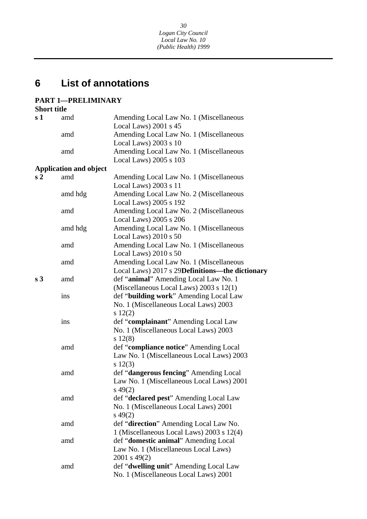#### **6 List of annotations**

## **PART 1—PRELIMINARY**

| <b>Short title</b> |                               |                                                 |
|--------------------|-------------------------------|-------------------------------------------------|
| s <sub>1</sub>     | amd                           | Amending Local Law No. 1 (Miscellaneous         |
|                    |                               | Local Laws) 2001 s 45                           |
|                    | amd                           | Amending Local Law No. 1 (Miscellaneous         |
|                    |                               | Local Laws) 2003 s 10                           |
|                    | amd                           | Amending Local Law No. 1 (Miscellaneous         |
|                    |                               | Local Laws) 2005 s 103                          |
|                    | <b>Application and object</b> |                                                 |
| s <sub>2</sub>     | amd                           | Amending Local Law No. 1 (Miscellaneous         |
|                    |                               | Local Laws) 2003 s 11                           |
|                    | amd hdg                       | Amending Local Law No. 2 (Miscellaneous         |
|                    |                               | Local Laws) 2005 s 192                          |
|                    | amd                           | Amending Local Law No. 2 (Miscellaneous         |
|                    |                               | Local Laws) 2005 s 206                          |
|                    | amd hdg                       | Amending Local Law No. 1 (Miscellaneous         |
|                    |                               | Local Laws) 2010 s 50                           |
|                    | amd                           | Amending Local Law No. 1 (Miscellaneous         |
|                    |                               | Local Laws) 2010 s 50                           |
|                    | amd                           | Amending Local Law No. 1 (Miscellaneous         |
|                    |                               | Local Laws) 2017 s 29Definitions-the dictionary |
| s <sub>3</sub>     | amd                           | def "animal" Amending Local Law No. 1           |
|                    |                               | (Miscellaneous Local Laws) 2003 s 12(1)         |
|                    | ins                           | def "building work" Amending Local Law          |
|                    |                               | No. 1 (Miscellaneous Local Laws) 2003           |
|                    |                               | $s\ 12(2)$                                      |
|                    | ins                           | def "complainant" Amending Local Law            |
|                    |                               | No. 1 (Miscellaneous Local Laws) 2003           |
|                    |                               | $s\ 12(8)$                                      |
|                    | amd                           | def "compliance notice" Amending Local          |
|                    |                               | Law No. 1 (Miscellaneous Local Laws) 2003       |
|                    |                               | $s\ 12(3)$                                      |
|                    | amd                           | def "dangerous fencing" Amending Local          |
|                    |                               | Law No. 1 (Miscellaneous Local Laws) 2001       |
|                    |                               | $s\,49(2)$                                      |
|                    | amd                           | def "declared pest" Amending Local Law          |
|                    |                               | No. 1 (Miscellaneous Local Laws) 2001           |
|                    |                               | $s\,49(2)$                                      |
|                    | amd                           | def "direction" Amending Local Law No.          |
|                    |                               | 1 (Miscellaneous Local Laws) 2003 s 12(4)       |
|                    | amd                           | def "domestic animal" Amending Local            |
|                    |                               | Law No. 1 (Miscellaneous Local Laws)            |
|                    |                               | 2001 s 49(2)                                    |
|                    | amd                           | def "dwelling unit" Amending Local Law          |
|                    |                               | No. 1 (Miscellaneous Local Laws) 2001           |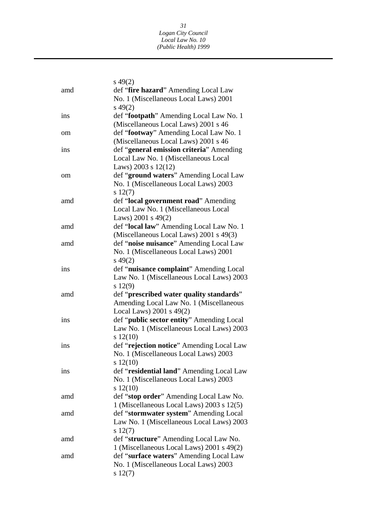|     | $s\,49(2)$                                |
|-----|-------------------------------------------|
| amd | def "fire hazard" Amending Local Law      |
|     | No. 1 (Miscellaneous Local Laws) 2001     |
|     | $s\,49(2)$                                |
| ins | def "footpath" Amending Local Law No. 1   |
|     | (Miscellaneous Local Laws) 2001 s 46      |
| om  | def "footway" Amending Local Law No. 1    |
|     | (Miscellaneous Local Laws) 2001 s 46      |
| ins | def "general emission criteria" Amending  |
|     | Local Law No. 1 (Miscellaneous Local      |
|     | Laws) 2003 s $12(12)$                     |
| om  | def "ground waters" Amending Local Law    |
|     | No. 1 (Miscellaneous Local Laws) 2003     |
|     | $s\ 12(7)$                                |
| amd | def "local government road" Amending      |
|     | Local Law No. 1 (Miscellaneous Local      |
|     | Laws) 2001 s $49(2)$                      |
| amd | def "local law" Amending Local Law No. 1  |
|     | (Miscellaneous Local Laws) 2001 s 49(3)   |
| amd | def "noise nuisance" Amending Local Law   |
|     | No. 1 (Miscellaneous Local Laws) 2001     |
|     | $s\,49(2)$                                |
| ins | def "nuisance complaint" Amending Local   |
|     | Law No. 1 (Miscellaneous Local Laws) 2003 |
|     | $s\ 12(9)$                                |
| amd | def "prescribed water quality standards"  |
|     | Amending Local Law No. 1 (Miscellaneous   |
|     | Local Laws) 2001 s 49(2)                  |
| ins | def "public sector entity" Amending Local |
|     | Law No. 1 (Miscellaneous Local Laws) 2003 |
|     | $s\ 12(10)$                               |
| ins | def "rejection notice" Amending Local Law |
|     | No. 1 (Miscellaneous Local Laws) 2003     |
|     | $s\ 12(10)$                               |
| ins | def "residential land" Amending Local Law |
|     | No. 1 (Miscellaneous Local Laws) 2003     |
|     | $s\ 12(10)$                               |
| amd | def "stop order" Amending Local Law No.   |
|     | 1 (Miscellaneous Local Laws) 2003 s 12(5) |
| amd | def "stormwater system" Amending Local    |
|     | Law No. 1 (Miscellaneous Local Laws) 2003 |
|     | $s\ 12(7)$                                |
| amd | def "structure" Amending Local Law No.    |
|     | 1 (Miscellaneous Local Laws) 2001 s 49(2) |
| amd | def "surface waters" Amending Local Law   |
|     | No. 1 (Miscellaneous Local Laws) 2003     |
|     | $s\ 12(7)$                                |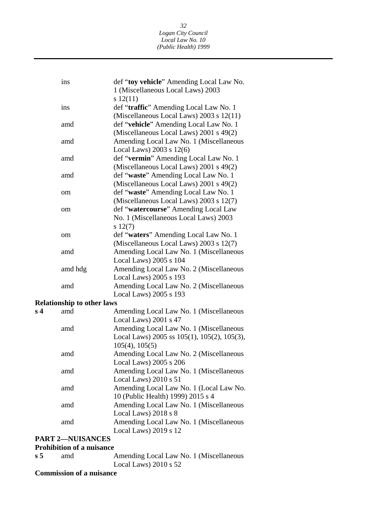|                | ins                               | def "toy vehicle" Amending Local Law No.                                                                      |
|----------------|-----------------------------------|---------------------------------------------------------------------------------------------------------------|
|                |                                   | 1 (Miscellaneous Local Laws) 2003<br>$s\ 12(11)$                                                              |
|                | ins                               | def "traffic" Amending Local Law No. 1<br>(Miscellaneous Local Laws) 2003 s 12(11)                            |
|                | amd                               | def "vehicle" Amending Local Law No. 1<br>(Miscellaneous Local Laws) 2001 s 49(2)                             |
|                | amd                               | Amending Local Law No. 1 (Miscellaneous<br>Local Laws) $2003$ s $12(6)$                                       |
|                | amd                               | def "vermin" Amending Local Law No. 1<br>(Miscellaneous Local Laws) 2001 s 49(2)                              |
|                | amd                               | def "waste" Amending Local Law No. 1<br>(Miscellaneous Local Laws) 2001 s 49(2)                               |
|                | om                                | def "waste" Amending Local Law No. 1<br>(Miscellaneous Local Laws) 2003 s 12(7)                               |
|                | om                                | def "watercourse" Amending Local Law<br>No. 1 (Miscellaneous Local Laws) 2003                                 |
|                |                                   | $s\ 12(7)$                                                                                                    |
|                | om                                | def "waters" Amending Local Law No. 1                                                                         |
|                | amd                               | (Miscellaneous Local Laws) 2003 s 12(7)<br>Amending Local Law No. 1 (Miscellaneous                            |
|                |                                   | Local Laws) 2005 s 104                                                                                        |
|                | amd hdg                           | Amending Local Law No. 2 (Miscellaneous                                                                       |
|                |                                   | Local Laws) 2005 s 193                                                                                        |
|                | amd                               | Amending Local Law No. 2 (Miscellaneous<br>Local Laws) 2005 s 193                                             |
|                | <b>Relationship to other laws</b> |                                                                                                               |
| s <sub>4</sub> | amd                               | Amending Local Law No. 1 (Miscellaneous<br>Local Laws) 2001 s 47                                              |
|                | amd                               | Amending Local Law No. 1 (Miscellaneous<br>Local Laws) 2005 ss 105(1), 105(2), 105(3),<br>$105(4)$ , $105(5)$ |
|                | amd                               | Amending Local Law No. 2 (Miscellaneous<br>Local Laws) 2005 s 206                                             |
|                | amd                               | Amending Local Law No. 1 (Miscellaneous<br>Local Laws) 2010 s 51                                              |
|                | amd                               | Amending Local Law No. 1 (Local Law No.<br>10 (Public Health) 1999) 2015 s 4                                  |
|                | amd                               | Amending Local Law No. 1 (Miscellaneous                                                                       |

Local Laws) 2018 s 8 amd Amending Local Law No. 1 (Miscellaneous Local Laws) 2019 s 12

## **PART 2—NUISANCES**

## **Prohibition of a nuisance**

| $\sqrt{5}$ | amd | Amending Local Law No. 1 (Miscellaneous |
|------------|-----|-----------------------------------------|
|            |     | Local Laws) $2010 s 52$                 |

## **Commission of a nuisance**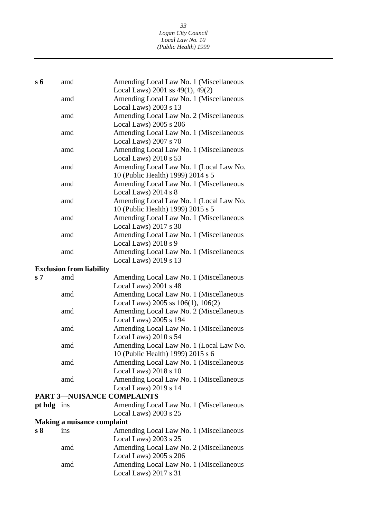*33 Logan City Council Local Law No. 10 (Public Health) 1999* 

| $s\,6$         | amd                                | Amending Local Law No. 1 (Miscellaneous                                            |
|----------------|------------------------------------|------------------------------------------------------------------------------------|
|                |                                    | Local Laws) 2001 ss $49(1)$ , $49(2)$                                              |
|                | amd                                | Amending Local Law No. 1 (Miscellaneous                                            |
|                |                                    | Local Laws) $2003$ s 13                                                            |
|                | amd                                | Amending Local Law No. 2 (Miscellaneous                                            |
|                |                                    | Local Laws) 2005 s 206                                                             |
|                | amd                                | Amending Local Law No. 1 (Miscellaneous                                            |
|                |                                    | Local Laws) 2007 s 70                                                              |
|                | amd                                | Amending Local Law No. 1 (Miscellaneous                                            |
|                |                                    | Local Laws) 2010 s 53                                                              |
|                | amd                                | Amending Local Law No. 1 (Local Law No.                                            |
|                |                                    | 10 (Public Health) 1999) 2014 s 5                                                  |
|                | amd                                | Amending Local Law No. 1 (Miscellaneous                                            |
|                |                                    | Local Laws) 2014 s 8                                                               |
|                | amd                                | Amending Local Law No. 1 (Local Law No.                                            |
|                |                                    | 10 (Public Health) 1999) 2015 s 5                                                  |
|                | amd                                | Amending Local Law No. 1 (Miscellaneous                                            |
|                |                                    | Local Laws) 2017 s 30                                                              |
|                | amd                                | Amending Local Law No. 1 (Miscellaneous                                            |
|                |                                    | Local Laws) 2018 s 9                                                               |
|                | amd                                | Amending Local Law No. 1 (Miscellaneous                                            |
|                |                                    | Local Laws) 2019 s 13                                                              |
|                | <b>Exclusion from liability</b>    |                                                                                    |
| s <sub>7</sub> | amd                                | Amending Local Law No. 1 (Miscellaneous                                            |
|                |                                    | Local Laws) 2001 s 48                                                              |
|                | amd                                | Amending Local Law No. 1 (Miscellaneous<br>Local Laws) 2005 ss $106(1)$ , $106(2)$ |
|                | amd                                | Amending Local Law No. 2 (Miscellaneous                                            |
|                |                                    | Local Laws) 2005 s 194                                                             |
|                | amd                                | Amending Local Law No. 1 (Miscellaneous                                            |
|                |                                    | Local Laws) 2010 s 54                                                              |
|                | amd                                | Amending Local Law No. 1 (Local Law No.                                            |
|                |                                    | 10 (Public Health) 1999) 2015 s 6                                                  |
|                | amd                                | Amending Local Law No. 1 (Miscellaneous                                            |
|                |                                    | Local Laws) 2018 s 10                                                              |
|                | amd                                | Amending Local Law No. 1 (Miscellaneous                                            |
|                |                                    | Local Laws) 2019 s 14                                                              |
|                | <b>PART 3-NUISANCE COMPLAINTS</b>  |                                                                                    |
| pt hdg ins     |                                    | Amending Local Law No. 1 (Miscellaneous                                            |
|                |                                    | Local Laws) 2003 s 25                                                              |
|                | <b>Making a nuisance complaint</b> |                                                                                    |
| s <sub>8</sub> | ins                                | Amending Local Law No. 1 (Miscellaneous                                            |
|                |                                    | Local Laws) 2003 s 25                                                              |
|                | amd                                | Amending Local Law No. 2 (Miscellaneous                                            |
|                |                                    | Local Laws) 2005 s 206                                                             |
|                | amd                                | Amending Local Law No. 1 (Miscellaneous                                            |
|                |                                    | Local Laws) 2017 s 31                                                              |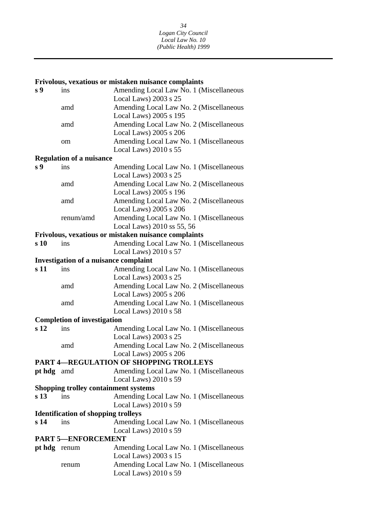### **Frivolous, vexatious or mistaken nuisance complaints**

| s <sub>9</sub>            | ins                                          | Amending Local Law No. 1 (Miscellaneous                                 |  |
|---------------------------|----------------------------------------------|-------------------------------------------------------------------------|--|
|                           |                                              | Local Laws) 2003 s 25                                                   |  |
|                           | amd                                          | Amending Local Law No. 2 (Miscellaneous                                 |  |
|                           |                                              | Local Laws) 2005 s 195                                                  |  |
|                           | amd                                          | Amending Local Law No. 2 (Miscellaneous                                 |  |
|                           |                                              | Local Laws) 2005 s 206                                                  |  |
|                           | om                                           | Amending Local Law No. 1 (Miscellaneous                                 |  |
|                           |                                              | Local Laws) 2010 s 55                                                   |  |
|                           | <b>Regulation of a nuisance</b>              |                                                                         |  |
| s 9                       | ins                                          | Amending Local Law No. 1 (Miscellaneous                                 |  |
|                           |                                              | Local Laws) 2003 s 25                                                   |  |
|                           | amd                                          | Amending Local Law No. 2 (Miscellaneous                                 |  |
|                           |                                              | Local Laws) 2005 s 196                                                  |  |
|                           | amd                                          | Amending Local Law No. 2 (Miscellaneous                                 |  |
|                           |                                              | Local Laws) 2005 s 206                                                  |  |
|                           | renum/amd                                    | Amending Local Law No. 1 (Miscellaneous                                 |  |
|                           |                                              | Local Laws) 2010 ss 55, 56                                              |  |
|                           |                                              | Frivolous, vexatious or mistaken nuisance complaints                    |  |
| s <sub>10</sub>           | ins                                          | Amending Local Law No. 1 (Miscellaneous                                 |  |
|                           |                                              | Local Laws) $2010 s 57$                                                 |  |
|                           | <b>Investigation of a nuisance complaint</b> |                                                                         |  |
| s 11                      | ins                                          | Amending Local Law No. 1 (Miscellaneous                                 |  |
|                           |                                              | Local Laws) 2003 s 25                                                   |  |
|                           | amd                                          | Amending Local Law No. 2 (Miscellaneous                                 |  |
|                           |                                              | Local Laws) 2005 s 206                                                  |  |
|                           | amd                                          | Amending Local Law No. 1 (Miscellaneous                                 |  |
|                           |                                              | Local Laws) 2010 s 58                                                   |  |
|                           | <b>Completion of investigation</b>           |                                                                         |  |
| s <sub>12</sub>           | ins                                          | Amending Local Law No. 1 (Miscellaneous                                 |  |
|                           |                                              | Local Laws) 2003 s 25                                                   |  |
|                           | amd                                          | Amending Local Law No. 2 (Miscellaneous                                 |  |
|                           |                                              | Local Laws) 2005 s 206<br><b>PART 4-REGULATION OF SHOPPING TROLLEYS</b> |  |
|                           |                                              |                                                                         |  |
| pt hdg amd                |                                              | Amending Local Law No. 1 (Miscellaneous<br>Local Laws) 2010 s 59        |  |
|                           | <b>Shopping trolley containment systems</b>  |                                                                         |  |
| s <sub>13</sub>           | ins                                          | Amending Local Law No. 1 (Miscellaneous                                 |  |
|                           |                                              | Local Laws) 2010 s 59                                                   |  |
|                           | <b>Identification of shopping trolleys</b>   |                                                                         |  |
| s <sub>14</sub>           | ins                                          | Amending Local Law No. 1 (Miscellaneous                                 |  |
|                           |                                              | Local Laws) 2010 s 59                                                   |  |
| <b>PART 5-ENFORCEMENT</b> |                                              |                                                                         |  |
| pt hdg renum              |                                              | Amending Local Law No. 1 (Miscellaneous                                 |  |
|                           |                                              | Local Laws) 2003 s 15                                                   |  |
|                           |                                              | Amending Local Law No. 1 (Miscellaneous                                 |  |
|                           | renum                                        | Local Laws) 2010 s 59                                                   |  |
|                           |                                              |                                                                         |  |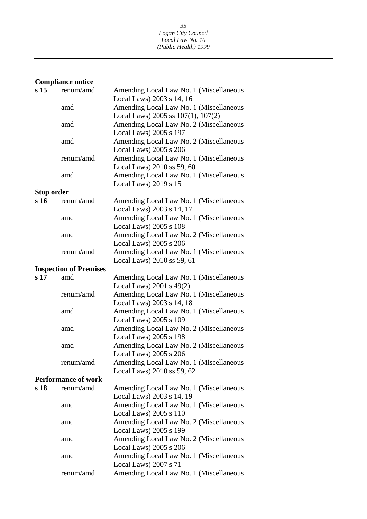## **Compliance notice**

| s <sub>15</sub> | renum/amd                     | Amending Local Law No. 1 (Miscellaneous |
|-----------------|-------------------------------|-----------------------------------------|
|                 |                               | Local Laws) 2003 s 14, 16               |
|                 | amd                           | Amending Local Law No. 1 (Miscellaneous |
|                 |                               | Local Laws) 2005 ss $107(1)$ , $107(2)$ |
|                 | amd                           | Amending Local Law No. 2 (Miscellaneous |
|                 |                               | Local Laws) 2005 s 197                  |
|                 | amd                           | Amending Local Law No. 2 (Miscellaneous |
|                 |                               | Local Laws) 2005 s 206                  |
|                 | renum/amd                     | Amending Local Law No. 1 (Miscellaneous |
|                 |                               | Local Laws) 2010 ss 59, 60              |
|                 | amd                           | Amending Local Law No. 1 (Miscellaneous |
|                 |                               | Local Laws) 2019 s 15                   |
| Stop order      |                               |                                         |
| s 16            | renum/amd                     | Amending Local Law No. 1 (Miscellaneous |
|                 |                               | Local Laws) 2003 s 14, 17               |
|                 | amd                           | Amending Local Law No. 1 (Miscellaneous |
|                 |                               | Local Laws) 2005 s 108                  |
|                 | amd                           | Amending Local Law No. 2 (Miscellaneous |
|                 |                               | Local Laws) 2005 s 206                  |
|                 | renum/amd                     | Amending Local Law No. 1 (Miscellaneous |
|                 |                               | Local Laws) 2010 ss 59, 61              |
|                 | <b>Inspection of Premises</b> |                                         |
| s <sub>17</sub> | amd                           | Amending Local Law No. 1 (Miscellaneous |
|                 |                               | Local Laws) $2001$ s $49(2)$            |
|                 | renum/amd                     | Amending Local Law No. 1 (Miscellaneous |
|                 |                               | Local Laws) 2003 s 14, 18               |
|                 | amd                           | Amending Local Law No. 1 (Miscellaneous |
|                 |                               | Local Laws) 2005 s 109                  |
|                 | amd                           | Amending Local Law No. 2 (Miscellaneous |
|                 |                               | Local Laws) 2005 s 198                  |
|                 | amd                           | Amending Local Law No. 2 (Miscellaneous |
|                 |                               | Local Laws) 2005 s 206                  |
|                 | renum/amd                     | Amending Local Law No. 1 (Miscellaneous |
|                 |                               | Local Laws) 2010 ss 59, 62              |
|                 | <b>Performance of work</b>    |                                         |
| s 18            | renum/amd                     | Amending Local Law No. 1 (Miscellaneous |
|                 |                               | Local Laws) 2003 s 14, 19               |
|                 | amd                           | Amending Local Law No. 1 (Miscellaneous |
|                 |                               | Local Laws) 2005 s 110                  |
|                 | amd                           | Amending Local Law No. 2 (Miscellaneous |
|                 |                               | Local Laws) 2005 s 199                  |
|                 | amd                           | Amending Local Law No. 2 (Miscellaneous |
|                 |                               | Local Laws) 2005 s 206                  |
|                 | amd                           | Amending Local Law No. 1 (Miscellaneous |
|                 |                               | Local Laws) 2007 s 71                   |
|                 | renum/amd                     | Amending Local Law No. 1 (Miscellaneous |
|                 |                               |                                         |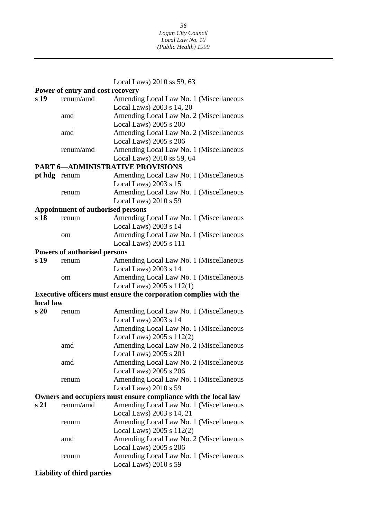Local Laws) 2010 ss 59, 63

| Power of entry and cost recovery |                                          |                                                                  |
|----------------------------------|------------------------------------------|------------------------------------------------------------------|
| s 19                             | renum/amd                                | Amending Local Law No. 1 (Miscellaneous                          |
|                                  |                                          | Local Laws) 2003 s 14, 20                                        |
|                                  | amd                                      | Amending Local Law No. 2 (Miscellaneous                          |
|                                  |                                          | Local Laws) 2005 s 200                                           |
|                                  | amd                                      | Amending Local Law No. 2 (Miscellaneous                          |
|                                  |                                          | Local Laws) 2005 s 206                                           |
|                                  | renum/amd                                | Amending Local Law No. 1 (Miscellaneous                          |
|                                  |                                          | Local Laws) 2010 ss 59, 64                                       |
|                                  |                                          | <b>PART 6-ADMINISTRATIVE PROVISIONS</b>                          |
| pt hdg renum                     |                                          | Amending Local Law No. 1 (Miscellaneous                          |
|                                  |                                          | Local Laws) $2003$ s $15$                                        |
|                                  | renum                                    | Amending Local Law No. 1 (Miscellaneous                          |
|                                  |                                          | Local Laws) 2010 s 59                                            |
|                                  | <b>Appointment of authorised persons</b> |                                                                  |
| s 18                             | renum                                    | Amending Local Law No. 1 (Miscellaneous                          |
|                                  |                                          | Local Laws) 2003 s 14                                            |
|                                  | om                                       | Amending Local Law No. 1 (Miscellaneous                          |
|                                  |                                          | Local Laws) 2005 s 111                                           |
|                                  | <b>Powers of authorised persons</b>      |                                                                  |
| s <sub>19</sub>                  | renum                                    | Amending Local Law No. 1 (Miscellaneous                          |
|                                  |                                          | Local Laws) 2003 s 14                                            |
|                                  | om                                       | Amending Local Law No. 1 (Miscellaneous                          |
|                                  |                                          | Local Laws) $2005 s 112(1)$                                      |
|                                  |                                          | Executive officers must ensure the corporation complies with the |
| local law                        |                                          |                                                                  |
| s <sub>20</sub>                  | renum                                    | Amending Local Law No. 1 (Miscellaneous                          |
|                                  |                                          | Local Laws) 2003 s 14                                            |
|                                  |                                          | Amending Local Law No. 1 (Miscellaneous                          |
|                                  |                                          | Local Laws) $2005 s 112(2)$                                      |
|                                  | amd                                      | Amending Local Law No. 2 (Miscellaneous                          |
|                                  |                                          | Local Laws) 2005 s 201                                           |
|                                  | amd                                      | Amending Local Law No. 2 (Miscellaneous                          |
|                                  |                                          | Local Laws) 2005 s 206                                           |
|                                  | renum                                    | Amending Local Law No. 1 (Miscellaneous                          |
|                                  |                                          | Local Laws) 2010 s 59                                            |
|                                  |                                          | Owners and occupiers must ensure compliance with the local law   |
| s 21                             | renum/amd                                | Amending Local Law No. 1 (Miscellaneous                          |
|                                  |                                          | Local Laws) 2003 s 14, 21                                        |
|                                  | renum                                    | Amending Local Law No. 1 (Miscellaneous                          |
|                                  |                                          | Local Laws) $2005 s 112(2)$                                      |
|                                  | amd                                      | Amending Local Law No. 2 (Miscellaneous                          |
|                                  |                                          | Local Laws) 2005 s 206                                           |
|                                  | renum                                    | Amending Local Law No. 1 (Miscellaneous                          |
|                                  |                                          | Local Laws) 2010 s 59                                            |

## **Liability of third parties**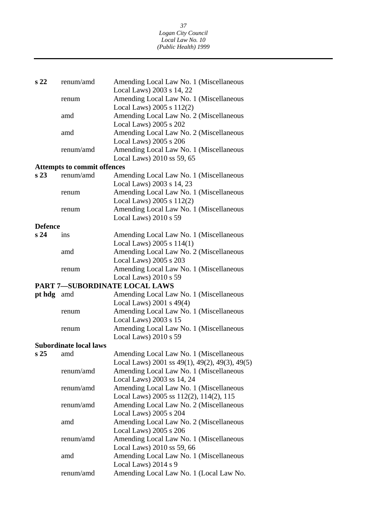| s <sub>22</sub> | renum/amd                          | Amending Local Law No. 1 (Miscellaneous                           |  |  |  |
|-----------------|------------------------------------|-------------------------------------------------------------------|--|--|--|
|                 |                                    | Local Laws) 2003 s 14, 22                                         |  |  |  |
|                 | renum                              | Amending Local Law No. 1 (Miscellaneous                           |  |  |  |
|                 |                                    | Local Laws) $2005 s 112(2)$                                       |  |  |  |
|                 | amd                                | Amending Local Law No. 2 (Miscellaneous                           |  |  |  |
|                 |                                    | Local Laws) 2005 s 202                                            |  |  |  |
|                 | amd                                | Amending Local Law No. 2 (Miscellaneous                           |  |  |  |
|                 |                                    | Local Laws) 2005 s 206                                            |  |  |  |
|                 | renum/amd                          | Amending Local Law No. 1 (Miscellaneous                           |  |  |  |
|                 |                                    | Local Laws) 2010 ss 59, 65                                        |  |  |  |
|                 | <b>Attempts to commit offences</b> |                                                                   |  |  |  |
| s <sub>23</sub> | renum/amd                          | Amending Local Law No. 1 (Miscellaneous                           |  |  |  |
|                 |                                    | Local Laws) 2003 s 14, 23                                         |  |  |  |
|                 | renum                              | Amending Local Law No. 1 (Miscellaneous                           |  |  |  |
|                 |                                    | Local Laws) $2005 s 112(2)$                                       |  |  |  |
|                 | renum                              | Amending Local Law No. 1 (Miscellaneous                           |  |  |  |
|                 |                                    | Local Laws) 2010 s 59                                             |  |  |  |
|                 | <b>Defence</b>                     |                                                                   |  |  |  |
| s <sub>24</sub> | <i>ins</i>                         | Amending Local Law No. 1 (Miscellaneous                           |  |  |  |
|                 |                                    | Local Laws) $2005 s 114(1)$                                       |  |  |  |
|                 | amd                                | Amending Local Law No. 2 (Miscellaneous                           |  |  |  |
|                 |                                    | Local Laws) 2005 s 203                                            |  |  |  |
|                 | renum                              | Amending Local Law No. 1 (Miscellaneous                           |  |  |  |
|                 |                                    | Local Laws) 2010 s 59                                             |  |  |  |
|                 | PART 7-SUBORDINATE LOCAL LAWS      |                                                                   |  |  |  |
|                 |                                    |                                                                   |  |  |  |
|                 |                                    |                                                                   |  |  |  |
| pt hdg amd      |                                    | Amending Local Law No. 1 (Miscellaneous                           |  |  |  |
|                 | renum                              | Local Laws) 2001 s 49(4)                                          |  |  |  |
|                 |                                    | Amending Local Law No. 1 (Miscellaneous                           |  |  |  |
|                 | renum                              | Local Laws) 2003 s 15<br>Amending Local Law No. 1 (Miscellaneous  |  |  |  |
|                 |                                    |                                                                   |  |  |  |
|                 |                                    | Local Laws) 2010 s 59                                             |  |  |  |
|                 | <b>Subordinate local laws</b>      |                                                                   |  |  |  |
| s <sub>25</sub> | amd                                | Amending Local Law No. 1 (Miscellaneous                           |  |  |  |
|                 |                                    | Local Laws) 2001 ss $49(1)$ , $49(2)$ , $49(3)$ , $49(5)$         |  |  |  |
|                 | renum/amd                          | Amending Local Law No. 1 (Miscellaneous                           |  |  |  |
|                 |                                    | Local Laws) 2003 ss 14, 24                                        |  |  |  |
|                 | renum/amd                          | Amending Local Law No. 1 (Miscellaneous                           |  |  |  |
|                 |                                    | Local Laws) 2005 ss 112(2), 114(2), 115                           |  |  |  |
|                 | renum/amd                          | Amending Local Law No. 2 (Miscellaneous                           |  |  |  |
|                 |                                    | Local Laws) 2005 s 204                                            |  |  |  |
|                 | amd                                | Amending Local Law No. 2 (Miscellaneous                           |  |  |  |
|                 |                                    | Local Laws) 2005 s 206                                            |  |  |  |
|                 | renum/amd                          | Amending Local Law No. 1 (Miscellaneous                           |  |  |  |
|                 |                                    | Local Laws) 2010 ss 59, 66                                        |  |  |  |
|                 | amd                                | Amending Local Law No. 1 (Miscellaneous                           |  |  |  |
|                 | renum/amd                          | Local Laws) $2014 s 9$<br>Amending Local Law No. 1 (Local Law No. |  |  |  |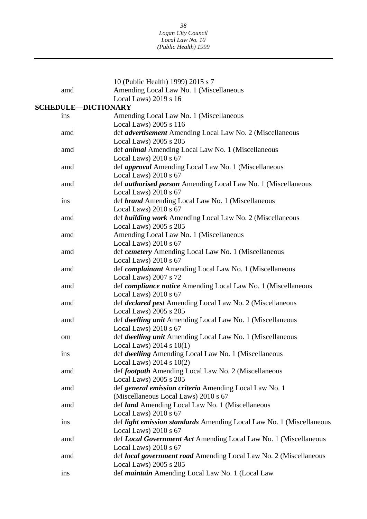|     | 10 (Public Health) 1999) 2015 s 7                                                |
|-----|----------------------------------------------------------------------------------|
| amd | Amending Local Law No. 1 (Miscellaneous                                          |
|     | Local Laws) $2019 s 16$                                                          |
|     | <b>SCHEDULE-DICTIONARY</b>                                                       |
| ins | Amending Local Law No. 1 (Miscellaneous                                          |
|     | Local Laws) 2005 s 116                                                           |
| amd | def advertisement Amending Local Law No. 2 (Miscellaneous                        |
|     | Local Laws) 2005 s 205                                                           |
| amd | def <i>animal</i> Amending Local Law No. 1 (Miscellaneous                        |
|     | Local Laws) 2010 s 67                                                            |
| amd | def <i>approval</i> Amending Local Law No. 1 (Miscellaneous                      |
|     | Local Laws) $2010 s 67$                                                          |
| amd | def <i>authorised person</i> Amending Local Law No. 1 (Miscellaneous             |
|     | Local Laws) $2010 s 67$                                                          |
| ins | def brand Amending Local Law No. 1 (Miscellaneous                                |
|     | Local Laws) $2010 s 67$                                                          |
| amd | def building work Amending Local Law No. 2 (Miscellaneous                        |
|     | Local Laws) 2005 s 205                                                           |
| amd | Amending Local Law No. 1 (Miscellaneous                                          |
|     | Local Laws) $2010 s 67$                                                          |
| amd | def cemetery Amending Local Law No. 1 (Miscellaneous                             |
|     | Local Laws) 2010 s 67                                                            |
| amd | def complainant Amending Local Law No. 1 (Miscellaneous<br>Local Laws) 2007 s 72 |
| amd | def <i>compliance notice</i> Amending Local Law No. 1 (Miscellaneous             |
|     | Local Laws) $2010 s 67$                                                          |
| amd | def <i>declared pest</i> Amending Local Law No. 2 (Miscellaneous                 |
|     | Local Laws) 2005 s 205                                                           |
| amd | def <i>dwelling unit</i> Amending Local Law No. 1 (Miscellaneous                 |
|     | Local Laws) 2010 s 67                                                            |
| om  | def <i>dwelling unit</i> Amending Local Law No. 1 (Miscellaneous                 |
|     | Local Laws) $2014 s 10(1)$                                                       |
| ins | def dwelling Amending Local Law No. 1 (Miscellaneous                             |
|     | Local Laws) $2014 s 10(2)$                                                       |
| amd | def footpath Amending Local Law No. 2 (Miscellaneous                             |
|     | Local Laws) 2005 s 205                                                           |
| amd | def general emission criteria Amending Local Law No. 1                           |
|     | (Miscellaneous Local Laws) 2010 s 67                                             |
| amd | def <i>land</i> Amending Local Law No. 1 (Miscellaneous                          |
|     | Local Laws) $2010 s 67$                                                          |
| ins | def light emission standards Amending Local Law No. 1 (Miscellaneous             |
|     | Local Laws) 2010 s 67                                                            |
| amd | def Local Government Act Amending Local Law No. 1 (Miscellaneous                 |
|     | Local Laws) 2010 s 67                                                            |
| amd | def local government road Amending Local Law No. 2 (Miscellaneous                |
|     | Local Laws) 2005 s 205                                                           |
| ins | def maintain Amending Local Law No. 1 (Local Law                                 |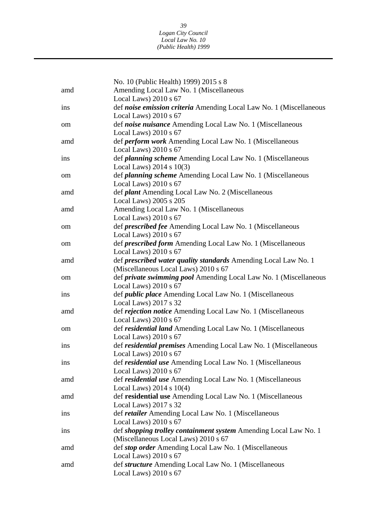|     | No. 10 (Public Health) 1999) 2015 s 8                                                     |
|-----|-------------------------------------------------------------------------------------------|
| amd | Amending Local Law No. 1 (Miscellaneous                                                   |
|     | Local Laws) 2010 s 67                                                                     |
| ins | def noise emission criteria Amending Local Law No. 1 (Miscellaneous                       |
|     | Local Laws) $2010 s 67$                                                                   |
| om  | def noise nuisance Amending Local Law No. 1 (Miscellaneous                                |
|     | Local Laws) 2010 s 67                                                                     |
| amd | def <i>perform work</i> Amending Local Law No. 1 (Miscellaneous                           |
|     | Local Laws) 2010 s 67                                                                     |
| ins | def <i>planning scheme</i> Amending Local Law No. 1 (Miscellaneous                        |
|     | Local Laws) $2014 s 10(3)$                                                                |
| om  | def <i>planning scheme</i> Amending Local Law No. 1 (Miscellaneous                        |
|     | Local Laws) 2010 s 67                                                                     |
| amd | def <i>plant</i> Amending Local Law No. 2 (Miscellaneous                                  |
|     | Local Laws) 2005 s 205                                                                    |
| amd | Amending Local Law No. 1 (Miscellaneous                                                   |
|     | Local Laws) 2010 s 67                                                                     |
| om  | def <i>prescribed fee</i> Amending Local Law No. 1 (Miscellaneous                         |
|     | Local Laws) $2010 s 67$                                                                   |
| om  | def prescribed form Amending Local Law No. 1 (Miscellaneous                               |
|     | Local Laws) 2010 s 67                                                                     |
| amd | def prescribed water quality standards Amending Local Law No. 1                           |
|     | (Miscellaneous Local Laws) 2010 s 67                                                      |
| om  | def <i>private swimming pool</i> Amending Local Law No. 1 (Miscellaneous                  |
|     | Local Laws) $2010 s 67$                                                                   |
| ins | def <i>public place</i> Amending Local Law No. 1 (Miscellaneous                           |
|     | Local Laws) 2017 s 32                                                                     |
| amd | def rejection notice Amending Local Law No. 1 (Miscellaneous                              |
|     | Local Laws) 2010 s 67                                                                     |
| om  | def residential land Amending Local Law No. 1 (Miscellaneous                              |
|     | Local Laws) $2010 s 67$                                                                   |
| ins | def residential premises Amending Local Law No. 1 (Miscellaneous                          |
|     | Local Laws) $2010 s 67$                                                                   |
| ins | def residential use Amending Local Law No. 1 (Miscellaneous<br>Local Laws) 2010 s 67      |
|     |                                                                                           |
| amd | def residential use Amending Local Law No. 1 (Miscellaneous<br>Local Laws) $2014 s 10(4)$ |
| amd | def residential use Amending Local Law No. 1 (Miscellaneous                               |
|     | Local Laws) $2017 s 32$                                                                   |
| ins | def <i>retailer</i> Amending Local Law No. 1 (Miscellaneous                               |
|     | Local Laws) $2010 s 67$                                                                   |
| ins | def shopping trolley containment system Amending Local Law No. 1                          |
|     | (Miscellaneous Local Laws) 2010 s 67                                                      |
| amd | def <i>stop order</i> Amending Local Law No. 1 (Miscellaneous                             |
|     | Local Laws) $2010 s 67$                                                                   |
| amd | def <i>structure</i> Amending Local Law No. 1 (Miscellaneous                              |
|     | Local Laws) $2010 s 67$                                                                   |